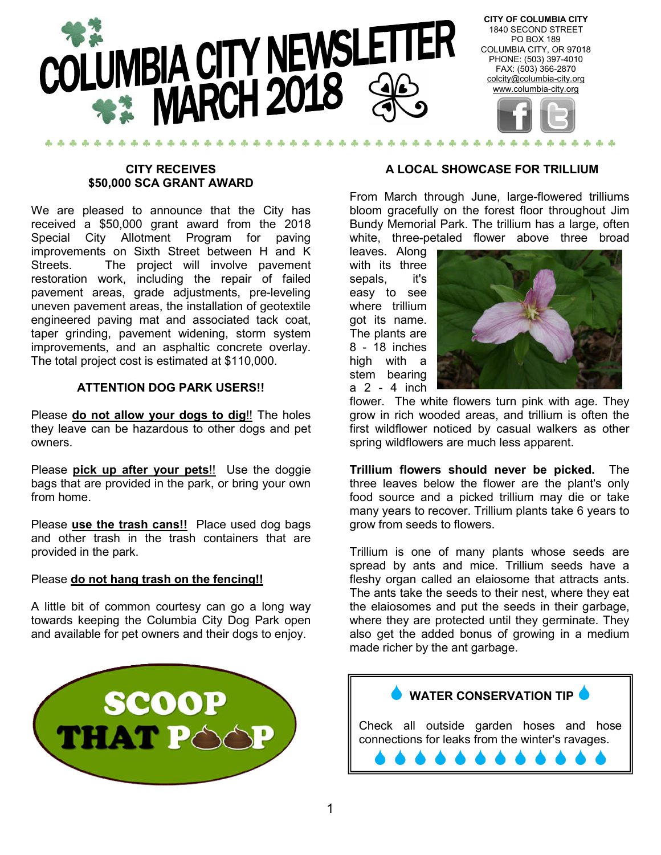

#### **CITY RECEIVES \$50,000 SCA GRANT AWARD**

We are pleased to announce that the City has received a \$50,000 grant award from the 2018 Special City Allotment Program for paving improvements on Sixth Street between H and K Streets. The project will involve pavement restoration work, including the repair of failed pavement areas, grade adjustments, pre-leveling uneven pavement areas, the installation of geotextile engineered paving mat and associated tack coat, taper grinding, pavement widening, storm system improvements, and an asphaltic concrete overlay. The total project cost is estimated at \$110,000.

#### **ATTENTION DOG PARK USERS!!**

Please **do not allow your dogs to dig**!! The holes they leave can be hazardous to other dogs and pet owners.

Please **pick up after your pets**!! Use the doggie bags that are provided in the park, or bring your own from home.

Please **use the trash cans!!** Place used dog bags and other trash in the trash containers that are provided in the park.

#### Please **do not hang trash on the fencing!!**

A little bit of common courtesy can go a long way towards keeping the Columbia City Dog Park open and available for pet owners and their dogs to enjoy.



#### **A LOCAL SHOWCASE FOR TRILLIUM**

From March through June, large-flowered trilliums bloom gracefully on the forest floor throughout Jim Bundy Memorial Park. The trillium has a large, often white, three-petaled flower above three broad

leaves. Along with its three sepals, it's easy to see where trillium got its name. The plants are 8 - 18 inches high with a stem bearing a 2 - 4 inch



flower. The white flowers turn pink with age. They grow in rich wooded areas, and trillium is often the first wildflower noticed by casual walkers as other spring wildflowers are much less apparent.

**Trillium flowers should never be picked.** The three leaves below the flower are the plant's only food source and a picked trillium may die or take many years to recover. Trillium plants take 6 years to grow from seeds to flowers.

Trillium is one of many plants whose seeds are spread by ants and mice. Trillium seeds have a fleshy organ called an elaiosome that attracts ants. The ants take the seeds to their nest, where they eat the elaiosomes and put the seeds in their garbage, where they are protected until they germinate. They also get the added bonus of growing in a medium made richer by the ant garbage.

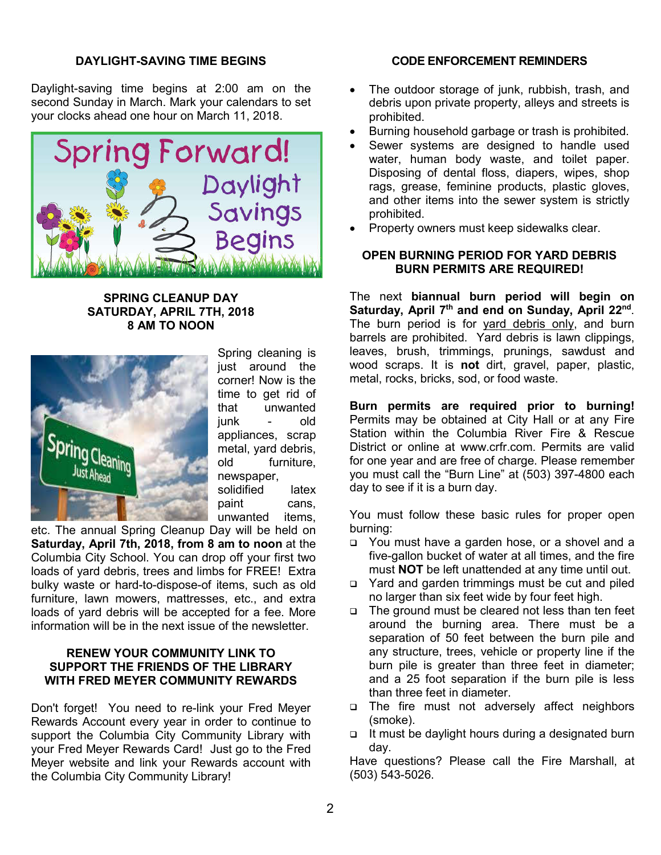#### **DAYLIGHT-SAVING TIME BEGINS**

Daylight-saving time begins at 2:00 am on the second Sunday in March. Mark your calendars to set your clocks ahead one hour on March 11, 2018.



#### **SPRING CLEANUP DAY SATURDAY, APRIL 7TH, 2018 8 AM TO NOON**



Spring cleaning is just around the corner! Now is the time to get rid of that unwanted junk - old appliances, scrap metal, yard debris, old furniture, newspaper, solidified latex paint cans, unwanted items,

etc. The annual Spring Cleanup Day will be held on **Saturday, April 7th, 2018, from 8 am to noon** at the Columbia City School. You can drop off your first two loads of yard debris, trees and limbs for FREE! Extra bulky waste or hard-to-dispose-of items, such as old furniture, lawn mowers, mattresses, etc., and extra loads of yard debris will be accepted for a fee. More information will be in the next issue of the newsletter.

#### **RENEW YOUR COMMUNITY LINK TO SUPPORT THE FRIENDS OF THE LIBRARY WITH FRED MEYER COMMUNITY REWARDS**

Don't forget! You need to re-link your Fred Meyer Rewards Account every year in order to continue to support the Columbia City Community Library with your Fred Meyer Rewards Card! Just go to the Fred Meyer website and link your Rewards account with the Columbia City Community Library!

#### **CODE ENFORCEMENT REMINDERS**

- The outdoor storage of junk, rubbish, trash, and debris upon private property, alleys and streets is prohibited.
- Burning household garbage or trash is prohibited.
- Sewer systems are designed to handle used water, human body waste, and toilet paper. Disposing of dental floss, diapers, wipes, shop rags, grease, feminine products, plastic gloves, and other items into the sewer system is strictly prohibited.
- Property owners must keep sidewalks clear.

#### **OPEN BURNING PERIOD FOR YARD DEBRIS BURN PERMITS ARE REQUIRED!**

The next **biannual burn period will begin on Saturday, April 7th and end on Sunday, April 22nd**. The burn period is for yard debris only, and burn barrels are prohibited. Yard debris is lawn clippings, leaves, brush, trimmings, prunings, sawdust and wood scraps. It is **not** dirt, gravel, paper, plastic, metal, rocks, bricks, sod, or food waste.

**Burn permits are required prior to burning!**  Permits may be obtained at City Hall or at any Fire Station within the Columbia River Fire & Rescue District or online at www.crfr.com. Permits are valid for one year and are free of charge. Please remember you must call the "Burn Line" at (503) 397-4800 each day to see if it is a burn day.

You must follow these basic rules for proper open burning:

- You must have a garden hose, or a shovel and a five-gallon bucket of water at all times, and the fire must **NOT** be left unattended at any time until out.
- □ Yard and garden trimmings must be cut and piled no larger than six feet wide by four feet high.
- □ The ground must be cleared not less than ten feet around the burning area. There must be a separation of 50 feet between the burn pile and any structure, trees, vehicle or property line if the burn pile is greater than three feet in diameter; and a 25 foot separation if the burn pile is less than three feet in diameter.
- The fire must not adversely affect neighbors (smoke).
- $\Box$  It must be daylight hours during a designated burn day.

Have questions? Please call the Fire Marshall, at (503) 543-5026.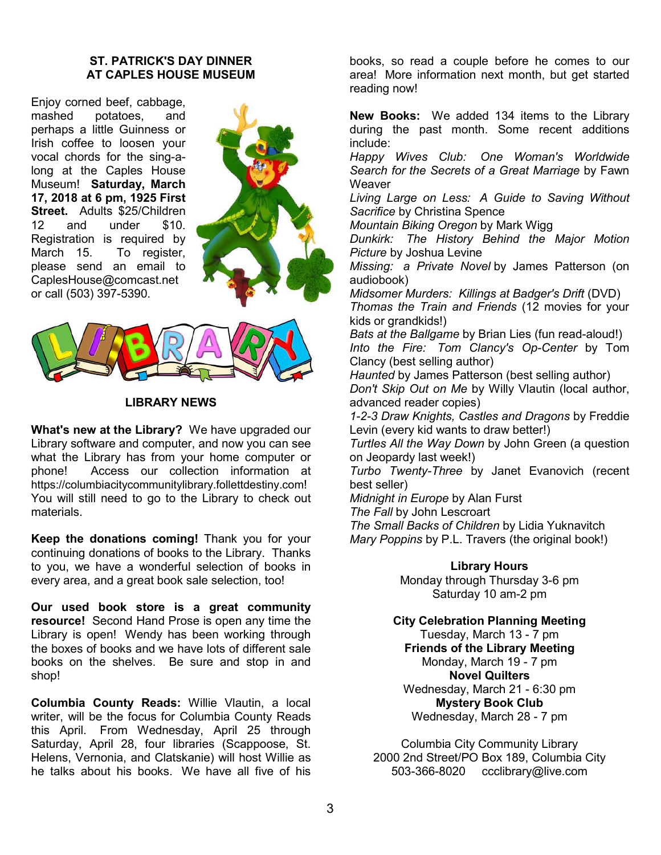#### **ST. PATRICK'S DAY DINNER AT CAPLES HOUSE MUSEUM**

Enjoy corned beef, cabbage, mashed potatoes, and perhaps a little Guinness or Irish coffee to loosen your vocal chords for the sing-along at the Caples House Museum! **Saturday, March 17, 2018 at 6 pm, 1925 First Street.** Adults \$25/Children 12 and under \$10. Registration is required by<br>March 15. To register, To register, please send an email to CaplesHouse@comcast.net or call (503) 397-5390.





#### **LIBRARY NEWS**

**What's new at the Library?** We have upgraded our Library software and computer, and now you can see what the Library has from your home computer or phone! Access our collection information at https://columbiacitycommunitylibrary.follettdestiny.com! You will still need to go to the Library to check out materials.

**Keep the donations coming!** Thank you for your continuing donations of books to the Library. Thanks to you, we have a wonderful selection of books in every area, and a great book sale selection, too!

**Our used book store is a great community resource!** Second Hand Prose is open any time the Library is open! Wendy has been working through the boxes of books and we have lots of different sale books on the shelves. Be sure and stop in and shop!

**Columbia County Reads:** Willie Vlautin, a local writer, will be the focus for Columbia County Reads this April. From Wednesday, April 25 through Saturday, April 28, four libraries (Scappoose, St. Helens, Vernonia, and Clatskanie) will host Willie as he talks about his books. We have all five of his

books, so read a couple before he comes to our area! More information next month, but get started reading now!

**New Books:** We added 134 items to the Library during the past month. Some recent additions include:

*Happy Wives Club: One Woman's Worldwide Search for the Secrets of a Great Marriage* by Fawn **Weaver** 

*Living Large on Less: A Guide to Saving Without Sacrifice* by Christina Spence

*Mountain Biking Oregon* by Mark Wigg

*Dunkirk: The History Behind the Major Motion Picture* by Joshua Levine

*Missing: a Private Novel* by James Patterson (on audiobook)

*Midsomer Murders: Killings at Badger's Drift* (DVD) *Thomas the Train and Friends* (12 movies for your kids or grandkids!)

*Bats at the Ballgame* by Brian Lies (fun read-aloud!) *Into the Fire: Tom Clancy's Op-Center* by Tom Clancy (best selling author)

*Haunted* by James Patterson (best selling author) *Don't Skip Out on Me* by Willy Vlautin (local author, advanced reader copies)

*1-2-3 Draw Knights, Castles and Dragons* by Freddie Levin (every kid wants to draw better!)

*Turtles All the Way Down* by John Green (a question on Jeopardy last week!)

*Turbo Twenty-Three* by Janet Evanovich (recent best seller)

*Midnight in Europe* by Alan Furst

*The Fall* by John Lescroart

*The Small Backs of Children* by Lidia Yuknavitch *Mary Poppins* by P.L. Travers (the original book!)

**Library Hours**

Monday through Thursday 3-6 pm Saturday 10 am-2 pm

#### **City Celebration Planning Meeting**

Tuesday, March 13 - 7 pm **Friends of the Library Meeting** Monday, March 19 - 7 pm **Novel Quilters** Wednesday, March 21 - 6:30 pm **Mystery Book Club** Wednesday, March 28 - 7 pm

Columbia City Community Library 2000 2nd Street/PO Box 189, Columbia City 503-366-8020 ccclibrary@live.com